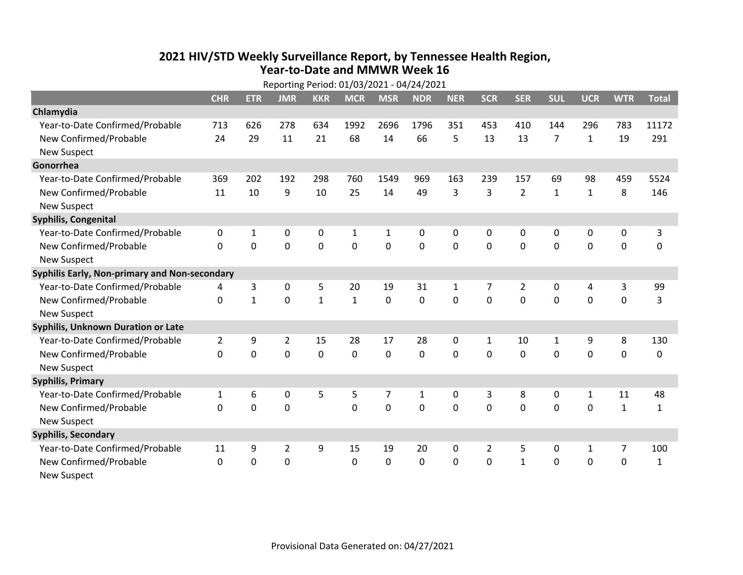## **2021 HIV /STD Weekly Surveillance Report, by Tennessee Health Region, Year‐to‐Date and MMWR Week 16** Reporting Period: 01/03/2021 ‐ 04/24/2021

|                                               | Reporting Period: 01/03/2021 - 04/24/2021 |              |                |                |              |                |              |              |                |                |              |              |                |              |
|-----------------------------------------------|-------------------------------------------|--------------|----------------|----------------|--------------|----------------|--------------|--------------|----------------|----------------|--------------|--------------|----------------|--------------|
|                                               | <b>CHR</b>                                | <b>ETR</b>   | <b>JMR</b>     | <b>KKR</b>     | <b>MCR</b>   | <b>MSR</b>     | <b>NDR</b>   | <b>NER</b>   | <b>SCR</b>     | <b>SER</b>     | <b>SUL</b>   | <b>UCR</b>   | <b>WTR</b>     | <b>Total</b> |
| Chlamydia                                     |                                           |              |                |                |              |                |              |              |                |                |              |              |                |              |
| Year-to-Date Confirmed/Probable               | 713                                       | 626          | 278            | 634            | 1992         | 2696           | 1796         | 351          | 453            | 410            | 144          | 296          | 783            | 11172        |
| New Confirmed/Probable                        | 24                                        | 29           | 11             | 21             | 68           | 14             | 66           | 5            | 13             | 13             | 7            | $\mathbf{1}$ | 19             | 291          |
| <b>New Suspect</b>                            |                                           |              |                |                |              |                |              |              |                |                |              |              |                |              |
| Gonorrhea                                     |                                           |              |                |                |              |                |              |              |                |                |              |              |                |              |
| Year-to-Date Confirmed/Probable               | 369                                       | 202          | 192            | 298            | 760          | 1549           | 969          | 163          | 239            | 157            | 69           | 98           | 459            | 5524         |
| New Confirmed/Probable                        | 11                                        | 10           | 9              | 10             | 25           | 14             | 49           | 3            | 3              | $\overline{2}$ | $\mathbf{1}$ | $\mathbf{1}$ | 8              | 146          |
| <b>New Suspect</b>                            |                                           |              |                |                |              |                |              |              |                |                |              |              |                |              |
| <b>Syphilis, Congenital</b>                   |                                           |              |                |                |              |                |              |              |                |                |              |              |                |              |
| Year-to-Date Confirmed/Probable               | 0                                         | $\mathbf{1}$ | 0              | 0              | 1            | $\mathbf{1}$   | 0            | 0            | 0              | 0              | 0            | 0            | 0              | 3            |
| New Confirmed/Probable                        | $\mathbf{0}$                              | 0            | $\mathbf 0$    | 0              | $\mathbf 0$  | $\mathbf 0$    | 0            | $\Omega$     | $\Omega$       | 0              | 0            | 0            | $\mathbf 0$    | 0            |
| <b>New Suspect</b>                            |                                           |              |                |                |              |                |              |              |                |                |              |              |                |              |
| Syphilis Early, Non-primary and Non-secondary |                                           |              |                |                |              |                |              |              |                |                |              |              |                |              |
| Year-to-Date Confirmed/Probable               | 4                                         | 3            | 0              | 5              | 20           | 19             | 31           | $\mathbf{1}$ | 7              | $\overline{2}$ | 0            | 4            | 3              | 99           |
| New Confirmed/Probable                        | 0                                         | $\mathbf{1}$ | $\mathbf 0$    | $\mathbf{1}$   | $\mathbf{1}$ | $\mathbf 0$    | 0            | $\Omega$     | $\Omega$       | $\Omega$       | $\mathbf 0$  | $\mathbf 0$  | $\mathbf 0$    | 3            |
| <b>New Suspect</b>                            |                                           |              |                |                |              |                |              |              |                |                |              |              |                |              |
| <b>Syphilis, Unknown Duration or Late</b>     |                                           |              |                |                |              |                |              |              |                |                |              |              |                |              |
| Year-to-Date Confirmed/Probable               | $\overline{2}$                            | 9            | $\overline{2}$ | 15             | 28           | 17             | 28           | $\mathbf{0}$ | $\mathbf{1}$   | 10             | 1            | 9            | 8              | 130          |
| New Confirmed/Probable                        | 0                                         | 0            | $\overline{0}$ | $\overline{0}$ | $\mathbf 0$  | $\mathbf 0$    | $\Omega$     | $\Omega$     | $\Omega$       | $\Omega$       | $\mathbf 0$  | $\mathbf 0$  | $\mathbf 0$    | 0            |
| <b>New Suspect</b>                            |                                           |              |                |                |              |                |              |              |                |                |              |              |                |              |
| <b>Syphilis, Primary</b>                      |                                           |              |                |                |              |                |              |              |                |                |              |              |                |              |
| Year-to-Date Confirmed/Probable               | $\mathbf{1}$                              | 6            | 0              | 5              | 5            | 7              | $\mathbf{1}$ | $\mathbf{0}$ | 3              | 8              | 0            | $\mathbf{1}$ | 11             | 48           |
| New Confirmed/Probable                        | $\Omega$                                  | 0            | $\mathbf 0$    |                | $\mathbf 0$  | $\overline{0}$ | 0            | $\Omega$     | $\Omega$       | $\Omega$       | $\mathbf 0$  | $\mathbf 0$  | $\mathbf{1}$   | $\mathbf{1}$ |
| <b>New Suspect</b>                            |                                           |              |                |                |              |                |              |              |                |                |              |              |                |              |
| <b>Syphilis, Secondary</b>                    |                                           |              |                |                |              |                |              |              |                |                |              |              |                |              |
| Year-to-Date Confirmed/Probable               | 11                                        | 9            | $\overline{2}$ | 9              | 15           | 19             | 20           | $\Omega$     | $\overline{2}$ | 5              | 0            | $\mathbf{1}$ | $\overline{7}$ | 100          |
| New Confirmed/Probable                        | $\mathbf{0}$                              | 0            | 0              |                | $\mathbf 0$  | 0              | 0            | $\mathbf 0$  | 0              | $\mathbf{1}$   | 0            | 0            | $\mathbf 0$    | $\mathbf{1}$ |
| <b>New Suspect</b>                            |                                           |              |                |                |              |                |              |              |                |                |              |              |                |              |